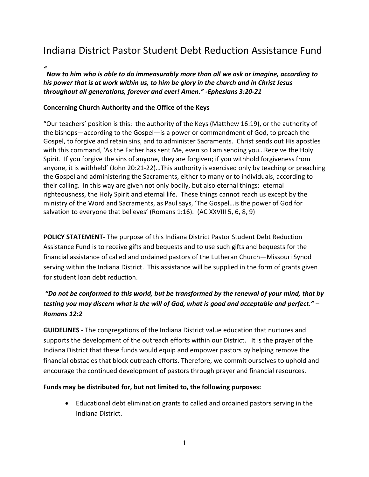## Indiana District Pastor Student Debt Reduction Assistance Fund

*"*

*Now to him who is able to do immeasurably more than all we ask or imagine, according to his power that is at work within us, to him be glory in the church and in Christ Jesus throughout all generations, forever and ever! Amen." -Ephesians 3:20-21*

## **Concerning Church Authority and the Office of the Keys**

"Our teachers' position is this: the authority of the Keys (Matthew 16:19), or the authority of the bishops—according to the Gospel—is a power or commandment of God, to preach the Gospel, to forgive and retain sins, and to administer Sacraments. Christ sends out His apostles with this command, 'As the Father has sent Me, even so I am sending you…Receive the Holy Spirit. If you forgive the sins of anyone, they are forgiven; if you withhold forgiveness from anyone, it is withheld' (John 20:21-22)…This authority is exercised only by teaching or preaching the Gospel and administering the Sacraments, either to many or to individuals, according to their calling. In this way are given not only bodily, but also eternal things: eternal righteousness, the Holy Spirit and eternal life. These things cannot reach us except by the ministry of the Word and Sacraments, as Paul says, 'The Gospel…is the power of God for salvation to everyone that believes' (Romans 1:16). (AC XXVIII 5, 6, 8, 9)

**POLICY STATEMENT-** The purpose of this Indiana District Pastor Student Debt Reduction Assistance Fund is to receive gifts and bequests and to use such gifts and bequests for the financial assistance of called and ordained pastors of the Lutheran Church—Missouri Synod serving within the Indiana District. This assistance will be supplied in the form of grants given for student loan debt reduction.

## *"Do not be conformed to this world, but be transformed by the renewal of your mind, that by testing you may discern what is the will of God, what is good and acceptable and perfect." – Romans 12:2*

**GUIDELINES -** The congregations of the Indiana District value education that nurtures and supports the development of the outreach efforts within our District. It is the prayer of the Indiana District that these funds would equip and empower pastors by helping remove the financial obstacles that block outreach efforts. Therefore, we commit ourselves to uphold and encourage the continued development of pastors through prayer and financial resources.

## **Funds may be distributed for, but not limited to, the following purposes:**

 Educational debt elimination grants to called and ordained pastors serving in the Indiana District.